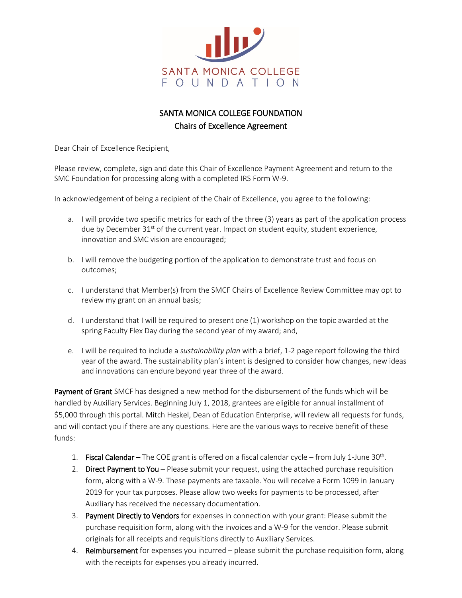

## SANTA MONICA COLLEGE FOUNDATION Chairs of Excellence Agreement

Dear Chair of Excellence Recipient,

Please review, complete, sign and date this Chair of Excellence Payment Agreement and return to the SMC Foundation for processing along with a completed IRS Form W-9.

In acknowledgement of being a recipient of the Chair of Excellence, you agree to the following:

- a. I will provide two specific metrics for each of the three (3) years as part of the application process due by December  $31<sup>st</sup>$  of the current year. Impact on student equity, student experience, innovation and SMC vision are encouraged;
- b. I will remove the budgeting portion of the application to demonstrate trust and focus on outcomes;
- c. I understand that Member(s) from the SMCF Chairs of Excellence Review Committee may opt to review my grant on an annual basis;
- d. I understand that I will be required to present one (1) workshop on the topic awarded at the spring Faculty Flex Day during the second year of my award; and,
- e. I will be required to include a *sustainability plan* with a brief, 1-2 page report following the third year of the award. The sustainability plan's intent is designed to consider how changes, new ideas and innovations can endure beyond year three of the award.

Payment of Grant SMCF has designed a new method for the disbursement of the funds which will be handled by Auxiliary Services. Beginning July 1, 2018, grantees are eligible for annual installment of \$5,000 through this portal. Mitch Heskel, Dean of Education Enterprise, will review all requests for funds, and will contact you if there are any questions. Here are the various ways to receive benefit of these funds:

- 1. Fiscal Calendar The COE grant is offered on a fiscal calendar cycle from July 1-June 30<sup>th</sup>.
- 2. Direct Payment to You Please submit your request, using the attached purchase requisition form, along with a W-9. These payments are taxable. You will receive a Form 1099 in January 2019 for your tax purposes. Please allow two weeks for payments to be processed, after Auxiliary has received the necessary documentation.
- 3. Payment Directly to Vendors for expenses in connection with your grant: Please submit the purchase requisition form, along with the invoices and a W-9 for the vendor. Please submit originals for all receipts and requisitions directly to Auxiliary Services.
- 4. Reimbursement for expenses you incurred please submit the purchase requisition form, along with the receipts for expenses you already incurred.